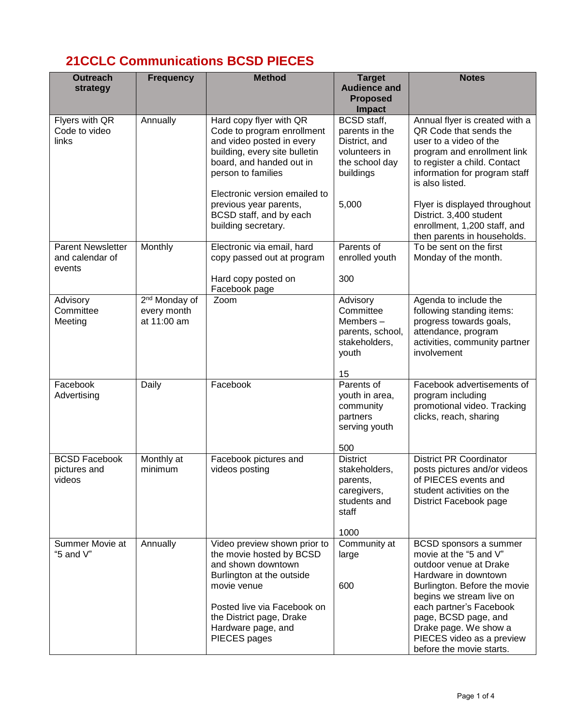## **21CCLC Communications BCSD PIECES**

| <b>Outreach</b><br>strategy                           | <b>Frequency</b>                                        | <b>Method</b>                                                                                                                                                                                                               | <b>Target</b><br><b>Audience and</b><br><b>Proposed</b>                                               | <b>Notes</b>                                                                                                                                                                                                                                                                                        |
|-------------------------------------------------------|---------------------------------------------------------|-----------------------------------------------------------------------------------------------------------------------------------------------------------------------------------------------------------------------------|-------------------------------------------------------------------------------------------------------|-----------------------------------------------------------------------------------------------------------------------------------------------------------------------------------------------------------------------------------------------------------------------------------------------------|
|                                                       |                                                         |                                                                                                                                                                                                                             | <b>Impact</b>                                                                                         |                                                                                                                                                                                                                                                                                                     |
| Flyers with QR<br>Code to video<br>links              | Annually                                                | Hard copy flyer with QR<br>Code to program enrollment<br>and video posted in every<br>building, every site bulletin<br>board, and handed out in<br>person to families<br>Electronic version emailed to                      | <b>BCSD</b> staff,<br>parents in the<br>District, and<br>volunteers in<br>the school day<br>buildings | Annual flyer is created with a<br>QR Code that sends the<br>user to a video of the<br>program and enrollment link<br>to register a child. Contact<br>information for program staff<br>is also listed.                                                                                               |
|                                                       |                                                         | previous year parents,<br>BCSD staff, and by each<br>building secretary.                                                                                                                                                    | 5,000                                                                                                 | Flyer is displayed throughout<br>District. 3,400 student<br>enrollment, 1,200 staff, and<br>then parents in households.                                                                                                                                                                             |
| <b>Parent Newsletter</b><br>and calendar of<br>events | Monthly                                                 | Electronic via email, hard<br>copy passed out at program                                                                                                                                                                    | Parents of<br>enrolled youth                                                                          | To be sent on the first<br>Monday of the month.                                                                                                                                                                                                                                                     |
|                                                       |                                                         | Hard copy posted on<br>Facebook page                                                                                                                                                                                        | 300                                                                                                   |                                                                                                                                                                                                                                                                                                     |
| Advisory<br>Committee<br>Meeting                      | 2 <sup>nd</sup> Monday of<br>every month<br>at 11:00 am | Zoom                                                                                                                                                                                                                        | Advisory<br>Committee<br>Members-<br>parents, school,<br>stakeholders,<br>youth                       | Agenda to include the<br>following standing items:<br>progress towards goals,<br>attendance, program<br>activities, community partner<br>involvement                                                                                                                                                |
|                                                       |                                                         |                                                                                                                                                                                                                             | 15                                                                                                    |                                                                                                                                                                                                                                                                                                     |
| Facebook<br>Advertising                               | Daily                                                   | Facebook                                                                                                                                                                                                                    | Parents of<br>youth in area,<br>community<br>partners<br>serving youth                                | Facebook advertisements of<br>program including<br>promotional video. Tracking<br>clicks, reach, sharing                                                                                                                                                                                            |
| <b>BCSD Facebook</b><br>pictures and<br>videos        | Monthly at<br>minimum                                   | Facebook pictures and<br>videos posting                                                                                                                                                                                     | 500<br><b>District</b><br>stakeholders,<br>parents,<br>caregivers,<br>students and<br>staff           | <b>District PR Coordinator</b><br>posts pictures and/or videos<br>of PIECES events and<br>student activities on the<br>District Facebook page                                                                                                                                                       |
|                                                       |                                                         |                                                                                                                                                                                                                             | 1000                                                                                                  |                                                                                                                                                                                                                                                                                                     |
| Summer Movie at<br>"5 and $V$ "                       | Annually                                                | Video preview shown prior to<br>the movie hosted by BCSD<br>and shown downtown<br>Burlington at the outside<br>movie venue<br>Posted live via Facebook on<br>the District page, Drake<br>Hardware page, and<br>PIECES pages | Community at<br>large<br>600                                                                          | BCSD sponsors a summer<br>movie at the "5 and V"<br>outdoor venue at Drake<br>Hardware in downtown<br>Burlington. Before the movie<br>begins we stream live on<br>each partner's Facebook<br>page, BCSD page, and<br>Drake page. We show a<br>PIECES video as a preview<br>before the movie starts. |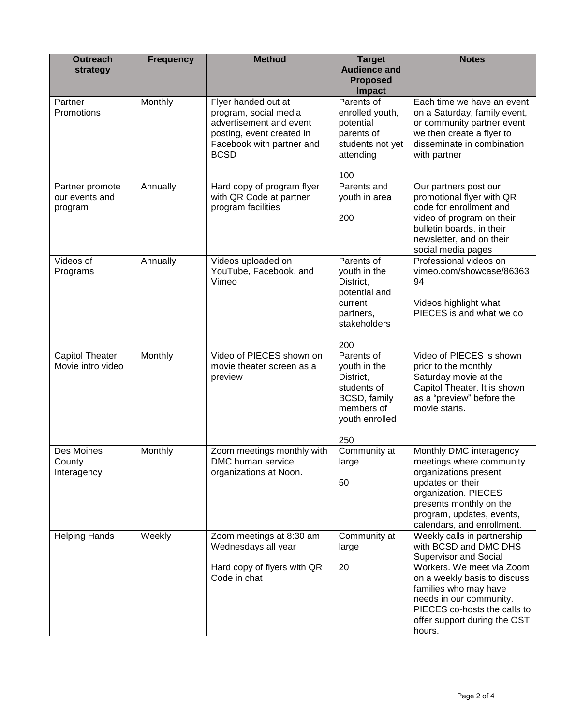| <b>Outreach</b><br>strategy                  | <b>Frequency</b> | <b>Method</b>                                                                                                                                    | <b>Target</b><br><b>Audience and</b><br><b>Proposed</b><br>Impact                                             | <b>Notes</b>                                                                                                                                                                                                                                                                    |
|----------------------------------------------|------------------|--------------------------------------------------------------------------------------------------------------------------------------------------|---------------------------------------------------------------------------------------------------------------|---------------------------------------------------------------------------------------------------------------------------------------------------------------------------------------------------------------------------------------------------------------------------------|
| Partner<br>Promotions                        | Monthly          | Flyer handed out at<br>program, social media<br>advertisement and event<br>posting, event created in<br>Facebook with partner and<br><b>BCSD</b> | Parents of<br>enrolled youth,<br>potential<br>parents of<br>students not yet<br>attending<br>100              | Each time we have an event<br>on a Saturday, family event,<br>or community partner event<br>we then create a flyer to<br>disseminate in combination<br>with partner                                                                                                             |
| Partner promote<br>our events and<br>program | Annually         | Hard copy of program flyer<br>with QR Code at partner<br>program facilities                                                                      | Parents and<br>youth in area<br>200                                                                           | Our partners post our<br>promotional flyer with QR<br>code for enrollment and<br>video of program on their<br>bulletin boards, in their<br>newsletter, and on their<br>social media pages                                                                                       |
| Videos of<br>Programs                        | Annually         | Videos uploaded on<br>YouTube, Facebook, and<br>Vimeo                                                                                            | Parents of<br>youth in the<br>District,<br>potential and<br>current<br>partners,<br>stakeholders<br>200       | Professional videos on<br>vimeo.com/showcase/86363<br>94<br>Videos highlight what<br>PIECES is and what we do                                                                                                                                                                   |
| Capitol Theater<br>Movie intro video         | Monthly          | Video of PIECES shown on<br>movie theater screen as a<br>preview                                                                                 | Parents of<br>youth in the<br>District,<br>students of<br>BCSD, family<br>members of<br>youth enrolled<br>250 | Video of PIECES is shown<br>prior to the monthly<br>Saturday movie at the<br>Capitol Theater. It is shown<br>as a "preview" before the<br>movie starts.                                                                                                                         |
| Des Moines<br>County<br>Interagency          | Monthly          | Zoom meetings monthly with<br>DMC human service<br>organizations at Noon.                                                                        | Community at<br>large<br>50                                                                                   | Monthly DMC interagency<br>meetings where community<br>organizations present<br>updates on their<br>organization. PIECES<br>presents monthly on the<br>program, updates, events,<br>calendars, and enrollment.                                                                  |
| <b>Helping Hands</b>                         | Weekly           | Zoom meetings at 8:30 am<br>Wednesdays all year<br>Hard copy of flyers with QR<br>Code in chat                                                   | Community at<br>large<br>20                                                                                   | Weekly calls in partnership<br>with BCSD and DMC DHS<br><b>Supervisor and Social</b><br>Workers. We meet via Zoom<br>on a weekly basis to discuss<br>families who may have<br>needs in our community.<br>PIECES co-hosts the calls to<br>offer support during the OST<br>hours. |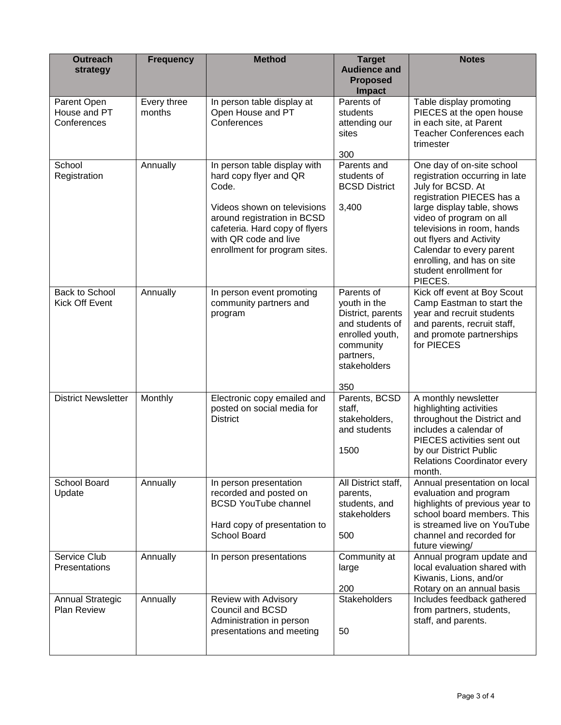| <b>Outreach</b><br>strategy                   | <b>Frequency</b>      | <b>Method</b>                                                                                                                                                                                                             | <b>Target</b><br><b>Audience and</b><br><b>Proposed</b><br><b>Impact</b>                                                               | <b>Notes</b>                                                                                                                                                                                                                                                                                                                   |
|-----------------------------------------------|-----------------------|---------------------------------------------------------------------------------------------------------------------------------------------------------------------------------------------------------------------------|----------------------------------------------------------------------------------------------------------------------------------------|--------------------------------------------------------------------------------------------------------------------------------------------------------------------------------------------------------------------------------------------------------------------------------------------------------------------------------|
| Parent Open<br>House and PT<br>Conferences    | Every three<br>months | In person table display at<br>Open House and PT<br>Conferences                                                                                                                                                            | Parents of<br>students<br>attending our<br>sites<br>300                                                                                | Table display promoting<br>PIECES at the open house<br>in each site, at Parent<br>Teacher Conferences each<br>trimester                                                                                                                                                                                                        |
| School<br>Registration                        | Annually              | In person table display with<br>hard copy flyer and QR<br>Code.<br>Videos shown on televisions<br>around registration in BCSD<br>cafeteria. Hard copy of flyers<br>with QR code and live<br>enrollment for program sites. | Parents and<br>students of<br><b>BCSD District</b><br>3,400                                                                            | One day of on-site school<br>registration occurring in late<br>July for BCSD. At<br>registration PIECES has a<br>large display table, shows<br>video of program on all<br>televisions in room, hands<br>out flyers and Activity<br>Calendar to every parent<br>enrolling, and has on site<br>student enrollment for<br>PIECES. |
| Back to School<br>Kick Off Event              | Annually              | In person event promoting<br>community partners and<br>program                                                                                                                                                            | Parents of<br>youth in the<br>District, parents<br>and students of<br>enrolled youth,<br>community<br>partners,<br>stakeholders<br>350 | Kick off event at Boy Scout<br>Camp Eastman to start the<br>year and recruit students<br>and parents, recruit staff,<br>and promote partnerships<br>for PIECES                                                                                                                                                                 |
| <b>District Newsletter</b>                    | Monthly               | Electronic copy emailed and<br>posted on social media for<br><b>District</b>                                                                                                                                              | Parents, BCSD<br>staff,<br>stakeholders,<br>and students<br>1500                                                                       | A monthly newsletter<br>highlighting activities<br>throughout the District and<br>includes a calendar of<br>PIECES activities sent out<br>by our District Public<br><b>Relations Coordinator every</b><br>month.                                                                                                               |
| School Board<br>Update                        | Annually              | In person presentation<br>recorded and posted on<br><b>BCSD YouTube channel</b><br>Hard copy of presentation to<br>School Board                                                                                           | All District staff,<br>parents,<br>students, and<br>stakeholders<br>500                                                                | Annual presentation on local<br>evaluation and program<br>highlights of previous year to<br>school board members. This<br>is streamed live on YouTube<br>channel and recorded for<br>future viewing/                                                                                                                           |
| Service Club<br>Presentations                 | Annually              | In person presentations                                                                                                                                                                                                   | Community at<br>large<br>200                                                                                                           | Annual program update and<br>local evaluation shared with<br>Kiwanis, Lions, and/or<br>Rotary on an annual basis                                                                                                                                                                                                               |
| <b>Annual Strategic</b><br><b>Plan Review</b> | Annually              | Review with Advisory<br><b>Council and BCSD</b><br>Administration in person<br>presentations and meeting                                                                                                                  | <b>Stakeholders</b><br>50                                                                                                              | Includes feedback gathered<br>from partners, students,<br>staff, and parents.                                                                                                                                                                                                                                                  |